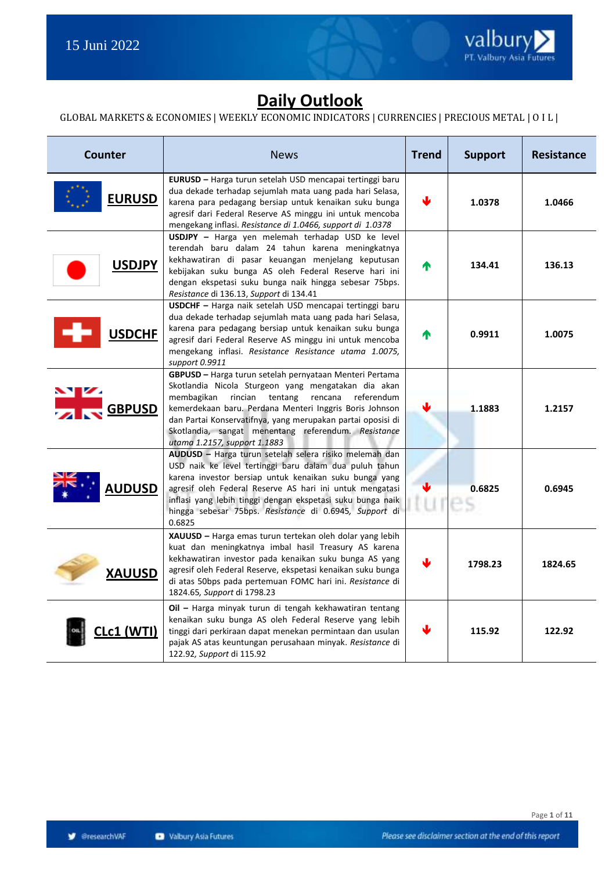

### **Daily Outlook**

#### GLOBAL MARKETS & ECONOMIES | WEEKLY ECONOMIC INDICATORS | CURRENCIES | PRECIOUS METAL | O I L |

| <b>Counter</b>                | <b>News</b>                                                                                                                                                                                                                                                                                                                                                                                  | <b>Trend</b> | <b>Support</b> | <b>Resistance</b> |
|-------------------------------|----------------------------------------------------------------------------------------------------------------------------------------------------------------------------------------------------------------------------------------------------------------------------------------------------------------------------------------------------------------------------------------------|--------------|----------------|-------------------|
| <b>EURUSD</b>                 | EURUSD - Harga turun setelah USD mencapai tertinggi baru<br>dua dekade terhadap sejumlah mata uang pada hari Selasa,<br>karena para pedagang bersiap untuk kenaikan suku bunga<br>agresif dari Federal Reserve AS minggu ini untuk mencoba<br>mengekang inflasi. Resistance di 1.0466, support di 1.0378                                                                                     | J            | 1.0378         | 1.0466            |
| <b>USDJPY</b>                 | USDJPY - Harga yen melemah terhadap USD ke level<br>terendah baru dalam 24 tahun karena meningkatnya<br>kekhawatiran di pasar keuangan menjelang keputusan<br>kebijakan suku bunga AS oleh Federal Reserve hari ini<br>dengan ekspetasi suku bunga naik hingga sebesar 75bps.<br>Resistance di 136.13, Support di 134.41                                                                     | ♠            | 134.41         | 136.13            |
| <b>USDCHF</b>                 | USDCHF - Harga naik setelah USD mencapai tertinggi baru<br>dua dekade terhadap sejumlah mata uang pada hari Selasa,<br>karena para pedagang bersiap untuk kenaikan suku bunga<br>agresif dari Federal Reserve AS minggu ini untuk mencoba<br>mengekang inflasi. Resistance Resistance utama 1.0075,<br>support 0.9911                                                                        | ́↑           | 0.9911         | 1.0075            |
| $\mathbf{v}$<br><b>GBPUSD</b> | GBPUSD - Harga turun setelah pernyataan Menteri Pertama<br>Skotlandia Nicola Sturgeon yang mengatakan dia akan<br>rincian<br>membagikan<br>tentang<br>rencana<br>referendum<br>kemerdekaan baru. Perdana Menteri Inggris Boris Johnson<br>dan Partai Konservatifnya, yang merupakan partai oposisi di<br>Skotlandia, sangat menentang referendum. Resistance<br>utama 1.2157, support 1.1883 |              | 1.1883         | 1.2157            |
| <b>AUDUSD</b>                 | AUDUSD - Harga turun setelah selera risiko melemah dan<br>USD naik ke level tertinggi baru dalam dua puluh tahun<br>karena investor bersiap untuk kenaikan suku bunga yang<br>agresif oleh Federal Reserve AS hari ini untuk mengatasi<br>inflasi yang lebih tinggi dengan ekspetasi suku bunga naik<br>hingga sebesar 75bps. Resistance di 0.6945, Support di<br>0.6825                     | nu ne        | 0.6825         | 0.6945            |
| <b>XAUUSD</b>                 | XAUUSD - Harga emas turun tertekan oleh dolar yang lebih<br>kuat dan meningkatnya imbal hasil Treasury AS karena<br>kekhawatiran investor pada kenaikan suku bunga AS yang<br>agresif oleh Federal Reserve, ekspetasi kenaikan suku bunga<br>di atas 50bps pada pertemuan FOMC hari ini. Resistance di<br>1824.65, Support di 1798.23                                                        |              | 1798.23        | 1824.65           |
| .c1 (WTI)                     | Oil - Harga minyak turun di tengah kekhawatiran tentang<br>kenaikan suku bunga AS oleh Federal Reserve yang lebih<br>tinggi dari perkiraan dapat menekan permintaan dan usulan<br>pajak AS atas keuntungan perusahaan minyak. Resistance di<br>122.92, Support di 115.92                                                                                                                     |              | 115.92         | 122.92            |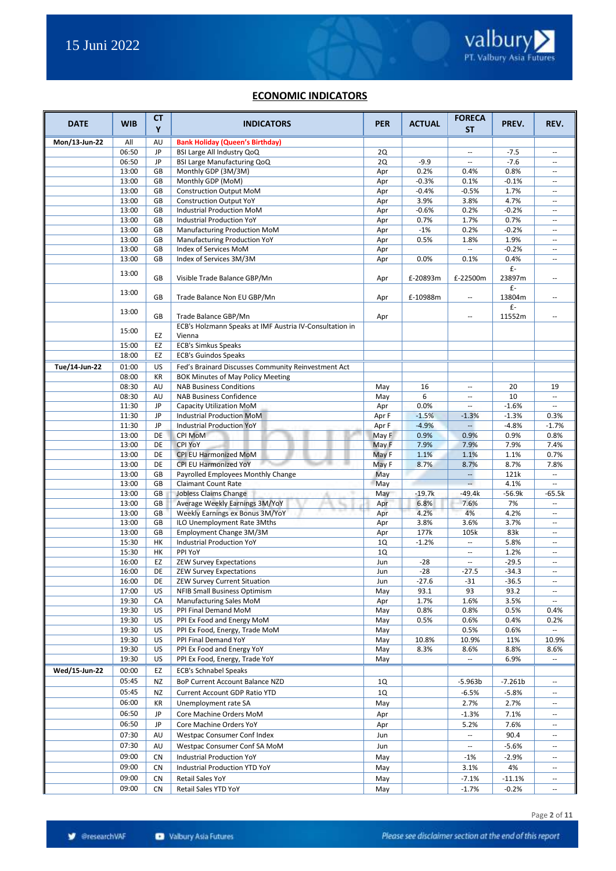#### **ECONOMIC INDICATORS**

| <b>DATE</b>   | <b>WIB</b>     | <b>CT</b><br>Y | <b>INDICATORS</b>                                                 | <b>PER</b> | <b>ACTUAL</b> | <b>FORECA</b><br>SΤ              | PREV.                          | REV.                                                 |
|---------------|----------------|----------------|-------------------------------------------------------------------|------------|---------------|----------------------------------|--------------------------------|------------------------------------------------------|
| Mon/13-Jun-22 | All            | AU             | <b>Bank Holiday (Queen's Birthday)</b>                            |            |               |                                  |                                |                                                      |
|               | 06:50          | JP             | BSI Large All Industry QoQ                                        | 2Q         |               | --                               | $-7.5$                         | $\overline{\phantom{a}}$                             |
|               | 06:50          | JP             | BSI Large Manufacturing QoQ                                       | 2Q         | $-9.9$        | $\overline{\phantom{a}}$         | $-7.6$                         | $\hspace{0.05cm} -\hspace{0.05cm}$                   |
|               | 13:00          | GB             | Monthly GDP (3M/3M)                                               | Apr        | 0.2%          | 0.4%                             | 0.8%                           | $\sim$                                               |
|               | 13:00          | GB             | Monthly GDP (MoM)                                                 | Apr        | $-0.3%$       | 0.1%                             | $-0.1%$                        | $\sim$ $\sim$                                        |
|               | 13:00          | GB             | <b>Construction Output MoM</b>                                    | Apr        | $-0.4%$       | $-0.5%$                          | 1.7%                           | $\overline{\phantom{a}}$                             |
|               | 13:00          | GB             | <b>Construction Output YoY</b>                                    | Apr        | 3.9%          | 3.8%                             | 4.7%                           | $\overline{\phantom{a}}$                             |
|               | 13:00          | GB             | Industrial Production MoM                                         | Apr        | $-0.6%$       | 0.2%                             | $-0.2%$                        | $\sim$                                               |
|               | 13:00          | GB             | Industrial Production YoY                                         | Apr        | 0.7%          | 1.7%                             | 0.7%                           | $\sim$                                               |
|               | 13:00          | GB             | Manufacturing Production MoM                                      | Apr        | $-1%$         | 0.2%                             | $-0.2%$                        | $\overline{\phantom{a}}$                             |
|               | 13:00          | GB             | Manufacturing Production YoY                                      | Apr        | 0.5%          | 1.8%                             | 1.9%                           | $\overline{\phantom{a}}$                             |
|               | 13:00          | GB             | Index of Services MoM                                             | Apr        |               | $\overline{\phantom{a}}$         | $-0.2%$                        | $\overline{\phantom{a}}$                             |
|               | 13:00          | GB             | Index of Services 3M/3M                                           | Apr        | 0.0%          | 0.1%                             | 0.4%                           | $\overline{\phantom{a}}$                             |
|               | 13:00          | GB             | Visible Trade Balance GBP/Mn                                      | Apr        | £-20893m      | £-22500m                         | £-<br>23897m                   | $\overline{\phantom{a}}$                             |
|               | 13:00          | GB             | Trade Balance Non EU GBP/Mn                                       | Apr        | £-10988m      | $\overline{\phantom{a}}$         | £-<br>13804m                   | $\overline{\phantom{a}}$                             |
|               | 13:00          | GB             | Trade Balance GBP/Mn                                              | Apr        |               | --                               | $\mathsf{f}\text{-}$<br>11552m | $\hspace{0.05cm} -\hspace{0.05cm}$                   |
|               | 15:00          | EZ             | ECB's Holzmann Speaks at IMF Austria IV-Consultation in<br>Vienna |            |               |                                  |                                |                                                      |
|               | 15:00          | EZ             | <b>ECB's Simkus Speaks</b>                                        |            |               |                                  |                                |                                                      |
|               | 18:00          | EZ             | <b>ECB's Guindos Speaks</b>                                       |            |               |                                  |                                |                                                      |
| Tue/14-Jun-22 | 01:00          | US             | Fed's Brainard Discusses Community Reinvestment Act               |            |               |                                  |                                |                                                      |
|               | 08:00          | KR             | BOK Minutes of May Policy Meeting                                 |            |               |                                  |                                |                                                      |
|               | 08:30          | AU             | <b>NAB Business Conditions</b>                                    | May        | 16            | $\overline{\phantom{a}}$         | 20                             | 19                                                   |
|               | 08:30          | AU             | <b>NAB Business Confidence</b>                                    | May        | 6             | $\sim$                           | 10                             | $\overline{\phantom{a}}$                             |
|               | 11:30          | JP             | Capacity Utilization MoM                                          | Apr        | 0.0%          |                                  | $-1.6%$                        | $\overline{\phantom{a}}$                             |
|               | 11:30          | JP             | <b>Industrial Production MoM</b>                                  | Apr F      | $-1.5%$       | $-1.3%$                          | $-1.3%$                        | 0.3%                                                 |
|               | 11:30          | JP             | <b>Industrial Production YoY</b>                                  | Apr F      | $-4.9%$       |                                  | $-4.8%$                        | $-1.7%$                                              |
|               | 13:00          | DE             | <b>CPI MoM</b>                                                    | May F      | 0.9%          | 0.9%                             | 0.9%                           | 0.8%                                                 |
|               | 13:00          | DE             | <b>CPI YoY</b>                                                    | May F      | 7.9%          | 7.9%                             | 7.9%                           | 7.4%                                                 |
|               | 13:00          | DE             | CPI EU Harmonized MoM                                             | May F      | 1.1%          | 1.1%                             | 1.1%                           | 0.7%                                                 |
|               | 13:00          | DE             | CPI EU Harmonized YoY                                             | May F      | 8.7%          | 8.7%                             | 8.7%                           | 7.8%                                                 |
|               | 13:00          | GB             | Payrolled Employees Monthly Change                                | May        |               | $\overline{\phantom{a}}$         | 121k                           | $\overline{\phantom{a}}$                             |
|               | 13:00          | GB             | <b>Claimant Count Rate</b>                                        | May        |               | $\sim$                           | 4.1%                           | $\overline{\phantom{a}}$                             |
|               | 13:00          | GB             | Jobless Claims Change<br>÷                                        | May        | $-19.7k$      | $-49.4k$                         | $-56.9k$                       | $-65.5k$                                             |
|               | 13:00          | GB             | Average Weekly Earnings 3M/YoY                                    | Apr        | 6.8%          | 7.6%                             | 7%                             | $\overline{\phantom{a}}$                             |
|               | 13:00          | GB             | Weekly Earnings ex Bonus 3M/YoY                                   | Apr        | 4.2%          | 4%                               | 4.2%                           | $\overline{\phantom{a}}$                             |
|               | 13:00<br>13:00 | GB<br>GB       | ILO Unemployment Rate 3Mths<br>Employment Change 3M/3M            | Apr        | 3.8%<br>177k  | 3.6%                             | 3.7%<br>83k                    | $\overline{\phantom{a}}$<br>$\overline{\phantom{a}}$ |
|               | 15:30          | HК             | <b>Industrial Production YoY</b>                                  | Apr<br>1Q  | $-1.2%$       | 105k<br>$\overline{\phantom{a}}$ | 5.8%                           | $\overline{\phantom{a}}$                             |
|               | 15:30          | HK             | PPI YoY                                                           | 1Q         |               | $\overline{\phantom{a}}$         | 1.2%                           | $\sim$ $\sim$                                        |
|               | 16:00          | EZ             | <b>ZEW Survey Expectations</b>                                    | Jun        | $-28$         | $\overline{\phantom{a}}$         | $-29.5$                        | $\overline{\phantom{a}}$                             |
|               | 16:00          | DE             | <b>ZEW Survey Expectations</b>                                    | Jun        | $-28$         | $-27.5$                          | $-34.3$                        |                                                      |
|               | 16:00          | DE             | ZEW Survey Current Situation                                      | Jun        | $-27.6$       | $-31$                            | $-36.5$                        | $\overline{\phantom{a}}$                             |
|               | 17:00          | US             | <b>NFIB Small Business Optimism</b>                               | May        | 93.1          | 93                               | 93.2                           | $\hspace{0.05cm} \ldots$                             |
|               | 19:30          | СA             | Manufacturing Sales MoM                                           | Apr        | 1.7%          | 1.6%                             | 3.5%                           | $\overline{\phantom{a}}$                             |
|               | 19:30          | US             | PPI Final Demand MoM                                              | May        | 0.8%          | 0.8%                             | 0.5%                           | 0.4%                                                 |
|               | 19:30          | US             | PPI Ex Food and Energy MoM                                        | May        | 0.5%          | 0.6%                             | 0.4%                           | 0.2%                                                 |
|               | 19:30          | US             | PPI Ex Food, Energy, Trade MoM                                    | May        |               | 0.5%                             | 0.6%                           |                                                      |
|               | 19:30          | US             | PPI Final Demand YoY                                              | May        | 10.8%         | 10.9%                            | 11%                            | 10.9%                                                |
|               | 19:30          | US             | PPI Ex Food and Energy YoY                                        | May        | 8.3%          | 8.6%                             | 8.8%                           | 8.6%                                                 |
|               | 19:30          | US             | PPI Ex Food, Energy, Trade YoY                                    | May        |               | $\overline{\phantom{a}}$         | 6.9%                           | $\sim$                                               |
| Wed/15-Jun-22 | 00:00          | EZ             | <b>ECB's Schnabel Speaks</b>                                      |            |               |                                  |                                |                                                      |
|               | 05:45          | ΝZ             | BoP Current Account Balance NZD                                   | 1Q         |               | $-5.963b$                        | $-7.261b$                      | $\hspace{0.05cm} \ldots$                             |
|               | 05:45          | ΝZ             | <b>Current Account GDP Ratio YTD</b>                              | 1Q         |               | $-6.5%$                          | $-5.8%$                        |                                                      |
|               | 06:00          | KR             | Unemployment rate SA                                              | May        |               | 2.7%                             | 2.7%                           | $\overline{\phantom{a}}$                             |
|               | 06:50          | JP             | Core Machine Orders MoM                                           | Apr        |               | $-1.3%$                          | 7.1%                           | $\overline{\phantom{a}}$                             |
|               | 06:50          | JP             | Core Machine Orders YoY                                           | Apr        |               | 5.2%                             | 7.6%                           | $\overline{\phantom{a}}$                             |
|               | 07:30          | AU             | Westpac Consumer Conf Index                                       | Jun        |               |                                  | 90.4                           | $\overline{\phantom{a}}$                             |
|               | 07:30          | AU             | Westpac Consumer Conf SA MoM                                      | Jun        |               | $\overline{\phantom{a}}$         | $-5.6%$                        | $\overline{\phantom{a}}$                             |
|               | 09:00          |                |                                                                   |            |               |                                  |                                |                                                      |
|               |                | <b>CN</b>      | Industrial Production YoY                                         | May        |               | $-1%$                            | $-2.9%$                        | $\overline{\phantom{a}}$                             |
|               | 09:00          | CN             | Industrial Production YTD YoY                                     | May        |               | 3.1%                             | 4%                             | $\overline{\phantom{a}}$                             |
|               | 09:00          | CN             | Retail Sales YoY                                                  | May        |               | $-7.1%$                          | $-11.1%$                       | $\overline{\phantom{a}}$                             |
|               | 09:00          | CN             | Retail Sales YTD YoY                                              | May        |               | $-1.7%$                          | $-0.2%$                        | $\overline{\phantom{a}}$                             |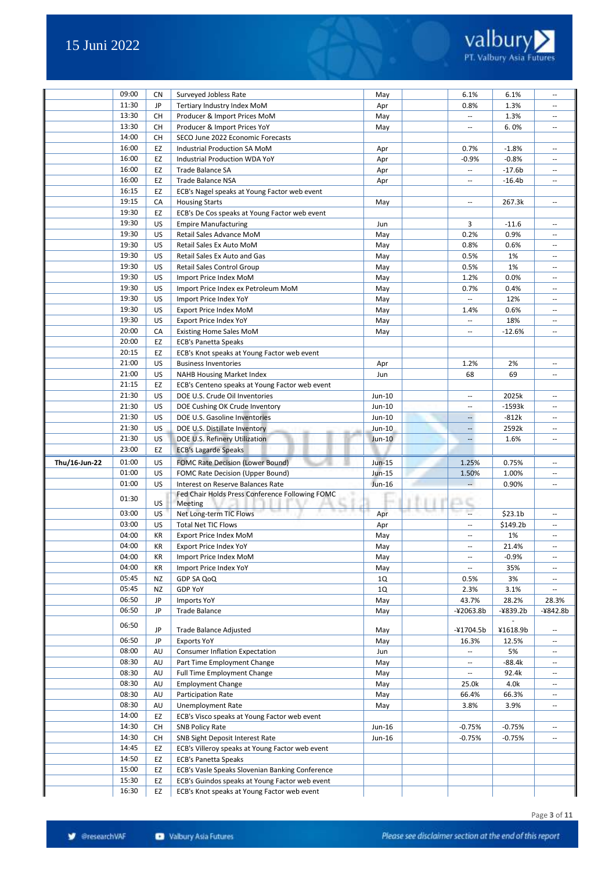

|               | 09:00          | <b>CN</b> | Surveyed Jobless Rate                                                                         | May           | 6.1%                     | 6.1%                | $\sim$                   |
|---------------|----------------|-----------|-----------------------------------------------------------------------------------------------|---------------|--------------------------|---------------------|--------------------------|
|               |                |           |                                                                                               |               |                          |                     |                          |
|               | 11:30          | JP        | Tertiary Industry Index MoM                                                                   | Apr           | 0.8%                     | 1.3%                |                          |
|               | 13:30          | CH        | Producer & Import Prices MoM                                                                  | May           | $\overline{\phantom{a}}$ | 1.3%                | $\sim$ $\sim$            |
|               | 13:30          | CH        | Producer & Import Prices YoY                                                                  | May           | $\overline{\phantom{a}}$ | 6.0%                | $\hspace{0.05cm} \ldots$ |
|               | 14:00          | CH        | SECO June 2022 Economic Forecasts                                                             |               |                          |                     |                          |
|               | 16:00          | EZ        | Industrial Production SA MoM                                                                  | Apr           | 0.7%                     | $-1.8%$             | $\overline{\phantom{a}}$ |
|               | 16:00          | EZ        | Industrial Production WDA YoY                                                                 |               | $-0.9%$                  | $-0.8%$             | $\overline{\phantom{a}}$ |
|               |                |           |                                                                                               | Apr           |                          |                     |                          |
|               | 16:00          | EZ        | <b>Trade Balance SA</b>                                                                       | Apr           | $\overline{\phantom{a}}$ | $-17.6b$            | $\overline{\phantom{a}}$ |
|               | 16:00          | EZ        | Trade Balance NSA                                                                             | Apr           | $\mathbf{u}$             | $-16.4b$            | $\sim$                   |
|               | 16:15          | EZ        | ECB's Nagel speaks at Young Factor web event                                                  |               |                          |                     |                          |
|               | 19:15          | CA        | <b>Housing Starts</b>                                                                         | May           | $\overline{\phantom{a}}$ | 267.3k              | $\overline{\phantom{a}}$ |
|               | 19:30          | EZ        | ECB's De Cos speaks at Young Factor web event                                                 |               |                          |                     |                          |
|               |                |           |                                                                                               |               |                          |                     |                          |
|               | 19:30          | US        | <b>Empire Manufacturing</b>                                                                   | Jun           | 3                        | $-11.6$             | $\sim$                   |
|               | 19:30          | US        | Retail Sales Advance MoM                                                                      | May           | 0.2%                     | 0.9%                | $\sim$                   |
|               | 19:30          | US        | Retail Sales Ex Auto MoM                                                                      | May           | 0.8%                     | 0.6%                | $\hspace{0.05cm} \ldots$ |
|               | 19:30          | US        | Retail Sales Ex Auto and Gas                                                                  | May           | 0.5%                     | 1%                  | $\sim$                   |
|               | 19:30          | US        | Retail Sales Control Group                                                                    | May           | 0.5%                     | 1%                  | $\sim$                   |
|               | 19:30          |           |                                                                                               |               |                          |                     |                          |
|               |                | US        | Import Price Index MoM                                                                        | May           | 1.2%                     | 0.0%                | $\sim$ $\sim$            |
|               | 19:30          | US        | Import Price Index ex Petroleum MoM                                                           | May           | 0.7%                     | 0.4%                | $\overline{\phantom{a}}$ |
|               | 19:30          | US        | Import Price Index YoY                                                                        | May           | $\overline{\phantom{a}}$ | 12%                 | $\sim$                   |
|               | 19:30          | US        | Export Price Index MoM                                                                        | May           | 1.4%                     | 0.6%                | $\overline{\phantom{a}}$ |
|               | 19:30          | US        | <b>Export Price Index YoY</b>                                                                 | May           | $\overline{\phantom{a}}$ | 18%                 | $\sim$                   |
|               | 20:00          | СA        |                                                                                               |               |                          | $-12.6%$            | $\hspace{0.05cm} \ldots$ |
|               |                |           | <b>Existing Home Sales MoM</b>                                                                | May           | $\hspace{0.05cm} \ldots$ |                     |                          |
|               | 20:00          | EZ        | <b>ECB's Panetta Speaks</b>                                                                   |               |                          |                     |                          |
|               | 20:15          | EZ        | ECB's Knot speaks at Young Factor web event                                                   |               |                          |                     |                          |
|               | 21:00          | US        | <b>Business Inventories</b>                                                                   | Apr           | 1.2%                     | 2%                  | $\sim$                   |
|               | 21:00          | US        | <b>NAHB Housing Market Index</b>                                                              | Jun           | 68                       | 69                  | $\hspace{0.05cm} \ldots$ |
|               | 21:15          | EZ        | ECB's Centeno speaks at Young Factor web event                                                |               |                          |                     |                          |
|               |                |           |                                                                                               |               |                          |                     |                          |
|               | 21:30          | US        | DOE U.S. Crude Oil Inventories                                                                | Jun-10        | $\mathbf{u}$             | 2025k               | $\sim$                   |
|               | 21:30          | US        | DOE Cushing OK Crude Inventory                                                                | Jun-10        | $\hspace{0.05cm} \ldots$ | $-1593k$            | $\sim$                   |
|               | 21:30          | US        | DOE U.S. Gasoline Inventories                                                                 | Jun-10        | $\overline{\phantom{a}}$ | $-812k$             | $\sim$                   |
|               | 21:30          | US        | DOE U.S. Distillate Inventory                                                                 | Jun-10        | $\cdots$                 | 2592k               | $\overline{\phantom{a}}$ |
|               | 21:30          | US        | DOE U.S. Refinery Utilization                                                                 | $Jun-10$      | $\overline{\phantom{a}}$ | 1.6%                | $\overline{\phantom{a}}$ |
|               | 23:00          | EZ        | <b>ECB's Lagarde Speaks</b>                                                                   |               |                          |                     |                          |
|               |                |           |                                                                                               |               |                          |                     |                          |
| Thu/16-Jun-22 | 01:00          | US        | <b>FOMC Rate Decision (Lower Bound)</b>                                                       | <b>Jun-15</b> | 1.25%                    | 0.75%               | $\overline{\phantom{a}}$ |
|               | 01:00          | US        | <b>FOMC Rate Decision (Upper Bound)</b>                                                       | Jun-15        | 1.50%                    | 1.00%               | $\overline{\phantom{a}}$ |
|               | 01:00          | US        | Interest on Reserve Balances Rate                                                             | Jun-16        | $\overline{a}$           | 0.90%               | $\overline{\phantom{a}}$ |
|               |                |           | Fed Chair Holds Press Conference Following FOMC                                               |               |                          |                     |                          |
|               | 01:30          | US.       | Meeting                                                                                       |               |                          |                     |                          |
|               | 03:00          | US        | Net Long-term TIC Flows                                                                       |               |                          | \$23.1 <sub>b</sub> |                          |
|               |                |           |                                                                                               | Apr           |                          |                     |                          |
|               | 03:00          | US        | <b>Total Net TIC Flows</b>                                                                    | Apr           | $\overline{\phantom{a}}$ | \$149.2b            | $\hspace{0.05cm} \ldots$ |
|               | 04:00          | КR        | Export Price Index MoM                                                                        | May           | $\overline{\phantom{a}}$ | 1%                  | $\overline{\phantom{a}}$ |
|               | 04:00          | KR        | <b>Export Price Index YoY</b>                                                                 | May           |                          |                     | $\sim$                   |
|               | 04:00          | KR        |                                                                                               |               | $\overline{\phantom{a}}$ | 21.4%               |                          |
|               |                |           | Import Price Index MoM                                                                        | May           | $\overline{\phantom{a}}$ | $-0.9%$             | $\overline{\phantom{a}}$ |
|               |                |           |                                                                                               |               | $\overline{\phantom{a}}$ |                     | $\overline{\phantom{a}}$ |
|               | 04:00          | KR        | Import Price Index YoY                                                                        | May           |                          | 35%                 |                          |
|               | 05:45          | NZ        | GDP SA QoQ                                                                                    | 1Q            | 0.5%                     | 3%                  | $\overline{\phantom{a}}$ |
|               | 05:45          | NZ        | GDP YoY                                                                                       | 1Q            | 2.3%                     | 3.1%                | $\overline{\phantom{a}}$ |
|               | 06:50          | JP        | <b>Imports YoY</b>                                                                            | May           | 43.7%                    | 28.2%               | 28.3%                    |
|               | 06:50          | JP        | <b>Trade Balance</b>                                                                          | May           | -¥2063.8b                | $-4839.2b$          | -¥842.8b                 |
|               |                |           |                                                                                               |               |                          |                     |                          |
|               | 06:50          | JP        | Trade Balance Adjusted                                                                        | May           | -¥1704.5b                | ¥1618.9b            | $\overline{\phantom{a}}$ |
|               |                |           |                                                                                               |               |                          |                     | $\overline{\phantom{a}}$ |
|               | 06:50          | JP        | <b>Exports YoY</b>                                                                            | May           | 16.3%                    | 12.5%               |                          |
|               | 08:00          | AU        | <b>Consumer Inflation Expectation</b>                                                         | Jun           | $\overline{\phantom{a}}$ | 5%                  | $\overline{\phantom{a}}$ |
|               | 08:30          | AU        | Part Time Employment Change                                                                   | May           | $\overline{\phantom{a}}$ | -88.4k              | $\sim$                   |
|               | 08:30          | AU        | Full Time Employment Change                                                                   | May           | $\overline{\phantom{a}}$ | 92.4k               | $\overline{\phantom{a}}$ |
|               | 08:30          | AU        | <b>Employment Change</b>                                                                      | May           | 25.0k                    | 4.0k                | $\overline{\phantom{a}}$ |
|               | 08:30          | AU        | Participation Rate                                                                            |               | 66.4%                    | 66.3%               | $\overline{\phantom{a}}$ |
|               |                |           |                                                                                               | May           |                          |                     | $\overline{a}$           |
|               | 08:30          | AU        | Unemployment Rate                                                                             | May           | 3.8%                     | 3.9%                |                          |
|               | 14:00          | EZ        | ECB's Visco speaks at Young Factor web event                                                  |               |                          |                     |                          |
|               | 14:30          | CH        | <b>SNB Policy Rate</b>                                                                        | Jun-16        | -0.75%                   | $-0.75%$            | $\overline{\phantom{a}}$ |
|               | 14:30          | CH        | SNB Sight Deposit Interest Rate                                                               | Jun-16        | $-0.75%$                 | $-0.75%$            |                          |
|               | 14:45          | EZ        | ECB's Villeroy speaks at Young Factor web event                                               |               |                          |                     |                          |
|               |                |           |                                                                                               |               |                          |                     |                          |
|               | 14:50          | EZ        | <b>ECB's Panetta Speaks</b>                                                                   |               |                          |                     |                          |
|               | 15:00          | EZ        | ECB's Vasle Speaks Slovenian Banking Conference                                               |               |                          |                     |                          |
|               | 15:30<br>16:30 | EZ<br>EZ  | ECB's Guindos speaks at Young Factor web event<br>ECB's Knot speaks at Young Factor web event |               |                          |                     |                          |

Page **3** of **11**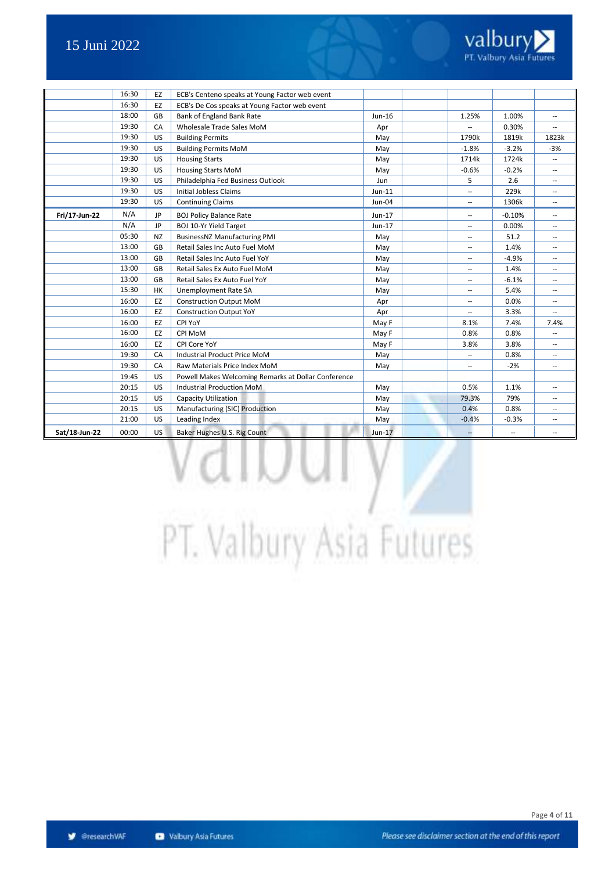

|               | 16:30 | EZ        | ECB's Centeno speaks at Young Factor web event      |          |                          |          |                          |
|---------------|-------|-----------|-----------------------------------------------------|----------|--------------------------|----------|--------------------------|
|               | 16:30 | EZ        | ECB's De Cos speaks at Young Factor web event       |          |                          |          |                          |
|               | 18:00 | GB        | Bank of England Bank Rate                           | Jun-16   | 1.25%                    | 1.00%    | $\overline{\phantom{a}}$ |
|               | 19:30 | CA        | Wholesale Trade Sales MoM                           | Apr      |                          | 0.30%    |                          |
|               | 19:30 | US        | <b>Building Permits</b>                             | May      | 1790k                    | 1819k    | 1823k                    |
|               | 19:30 | US        | <b>Building Permits MoM</b>                         | May      | $-1.8%$                  | $-3.2%$  | $-3%$                    |
|               | 19:30 | US        | <b>Housing Starts</b>                               | May      | 1714k                    | 1724k    |                          |
|               | 19:30 | US        | <b>Housing Starts MoM</b>                           | May      | $-0.6%$                  | $-0.2%$  | ÷                        |
|               | 19:30 | US        | Philadelphia Fed Business Outlook                   | Jun      | 5                        | 2.6      | $\overline{\phantom{a}}$ |
|               | 19:30 | US        | <b>Initial Jobless Claims</b>                       | $Jun-11$ | --                       | 229k     | $\overline{a}$           |
|               | 19:30 | US        | <b>Continuing Claims</b>                            | Jun-04   | $\overline{\phantom{a}}$ | 1306k    | $\overline{\phantom{a}}$ |
| Fri/17-Jun-22 | N/A   | <b>JP</b> | <b>BOJ Policy Balance Rate</b>                      | Jun-17   | --                       | $-0.10%$ | $\overline{\phantom{a}}$ |
|               | N/A   | <b>JP</b> | BOJ 10-Yr Yield Target                              | Jun-17   | $\overline{a}$           | 0.00%    | $\overline{a}$           |
|               | 05:30 | <b>NZ</b> | <b>BusinessNZ Manufacturing PMI</b>                 | May      | --                       | 51.2     | --                       |
|               | 13:00 | GB        | Retail Sales Inc Auto Fuel MoM                      | May      | --                       | 1.4%     | $\overline{\phantom{a}}$ |
|               | 13:00 | GB        | Retail Sales Inc Auto Fuel YoY                      | May      | --                       | $-4.9%$  | ÷                        |
|               | 13:00 | GB        | Retail Sales Ex Auto Fuel MoM                       | May      | $\overline{a}$           | 1.4%     |                          |
|               | 13:00 | GB        | Retail Sales Ex Auto Fuel YoY                       | May      | $\overline{\phantom{a}}$ | $-6.1%$  | $\overline{\phantom{a}}$ |
|               | 15:30 | <b>HK</b> | Unemployment Rate SA                                | May      | $\overline{a}$           | 5.4%     | $\overline{a}$           |
|               | 16:00 | EZ        | <b>Construction Output MoM</b>                      | Apr      | --                       | 0.0%     | $\overline{\phantom{a}}$ |
|               | 16:00 | EZ        | <b>Construction Output YoY</b>                      | Apr      | --                       | 3.3%     | $\overline{\phantom{a}}$ |
|               | 16:00 | EZ        | CPI YoY                                             | May F    | 8.1%                     | 7.4%     | 7.4%                     |
|               | 16:00 | EZ        | CPI MoM                                             | May F    | 0.8%                     | 0.8%     |                          |
|               | 16:00 | EZ        | CPI Core YoY                                        | May F    | 3.8%                     | 3.8%     |                          |
|               | 19:30 | CA        | Industrial Product Price MoM                        | May      | $\overline{\phantom{a}}$ | 0.8%     | $\overline{\phantom{a}}$ |
|               | 19:30 | CA        | Raw Materials Price Index MoM                       | May      | --                       | $-2%$    | $\overline{\phantom{a}}$ |
|               | 19:45 | US        | Powell Makes Welcoming Remarks at Dollar Conference |          |                          |          |                          |
|               | 20:15 | US        | <b>Industrial Production MoM</b>                    | May      | 0.5%                     | 1.1%     | --                       |
|               | 20:15 | US        | Capacity Utilization                                | May      | 79.3%                    | 79%      | $-$                      |
|               | 20:15 | US        | Manufacturing (SIC) Production                      | May      | 0.4%                     | 0.8%     | $-$                      |
|               | 21:00 | US        | Leading Index                                       | May      | $-0.4%$                  | $-0.3%$  | $\overline{\phantom{a}}$ |
| Sat/18-Jun-22 | 00:00 | <b>US</b> | Baker Hughes U.S. Rig Count                         | $Jun-17$ |                          | --       | $\sim$                   |

# PT. Valbury Asia Futures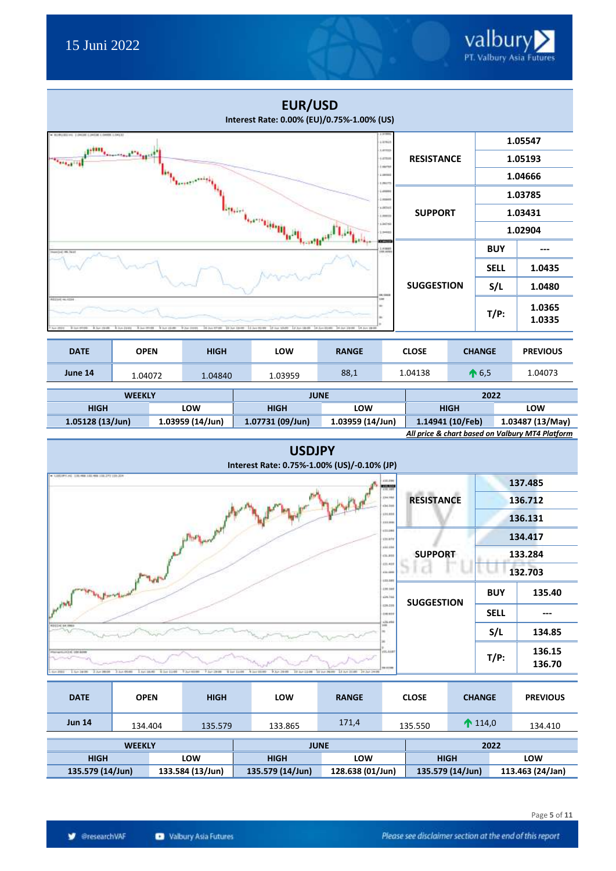|                                                                  |                                                     |                             | <b>EUR/USD</b><br>Interest Rate: 0.00% (EU)/0.75%-1.00% (US) |                  |                                |                   |             |                 |                                                                     |
|------------------------------------------------------------------|-----------------------------------------------------|-----------------------------|--------------------------------------------------------------|------------------|--------------------------------|-------------------|-------------|-----------------|---------------------------------------------------------------------|
|                                                                  |                                                     |                             |                                                              |                  | Arm is<br>Litters              |                   |             |                 | 1.05547                                                             |
|                                                                  |                                                     |                             |                                                              |                  | 14788<br>sich                  | <b>RESISTANCE</b> |             |                 | 1.05193                                                             |
|                                                                  |                                                     |                             |                                                              |                  | Lowest<br>1.041                |                   |             |                 | 1.04666                                                             |
|                                                                  |                                                     |                             |                                                              |                  | 4999                           |                   |             |                 | 1.03785                                                             |
|                                                                  |                                                     |                             |                                                              |                  | LIBERAL<br><b>JANES</b>        | <b>SUPPORT</b>    |             |                 | 1.03431                                                             |
|                                                                  |                                                     |                             | en andre                                                     |                  | iac+<br>3441                   |                   |             |                 | 1.02904                                                             |
|                                                                  |                                                     |                             |                                                              |                  | ommen<br>183881                |                   |             | <b>BUY</b>      | $---$                                                               |
|                                                                  |                                                     |                             |                                                              |                  |                                |                   |             | <b>SELL</b>     | 1.0435                                                              |
|                                                                  |                                                     |                             |                                                              |                  |                                | <b>SUGGESTION</b> |             | S/L             | 1.0480                                                              |
| <b>ETH 46.4</b>                                                  |                                                     |                             |                                                              |                  | $T/P$ :                        | 1.0365<br>1.0335  |             |                 |                                                                     |
| <b>DATE</b>                                                      | <b>RANGE</b>                                        |                             | <b>CLOSE</b>                                                 |                  | <b>CHANGE</b>                  | <b>PREVIOUS</b>   |             |                 |                                                                     |
| June 14                                                          | 1.04072                                             | 1.04840                     | 1.03959                                                      | 88,1             |                                | 1.04138           |             | $\bigwedge$ 6,5 | 1.04073                                                             |
|                                                                  | <b>WEEKLY</b>                                       |                             |                                                              | <b>JUNE</b>      |                                |                   |             | 2022            |                                                                     |
| <b>HIGH</b>                                                      |                                                     | LOW                         | <b>HIGH</b>                                                  | LOW              |                                |                   | <b>HIGH</b> |                 | LOW                                                                 |
| 1.05128 (13/Jun)                                                 |                                                     | 1.03959 (14/Jun)            | 1.07731 (09/Jun)                                             | 1.03959 (14/Jun) |                                | 1.14941 (10/Feb)  |             |                 | 1.03487 (13/May)<br>All price & chart based on Valbury MT4 Platform |
|                                                                  |                                                     |                             | <b>USDJPY</b><br>Interest Rate: 0.75%-1.00% (US)/-0.10% (JP) |                  |                                |                   |             |                 |                                                                     |
| GIRDING TRANSLIN OR FRUIT TRUST                                  |                                                     |                             |                                                              |                  | 414.044<br>書店                  |                   |             |                 | 137.485                                                             |
|                                                                  |                                                     |                             |                                                              |                  | 134,986<br>04.108              | <b>RESISTANCE</b> |             |                 | 136.712                                                             |
|                                                                  |                                                     |                             |                                                              |                  | (11.83)<br>111.99              |                   |             |                 | 136.131                                                             |
|                                                                  |                                                     | p. Phyl                     |                                                              |                  | 111.044<br><b>COLATE</b>       |                   |             |                 | 134.417                                                             |
|                                                                  |                                                     |                             |                                                              |                  | 444.444<br>(34,888)            | <b>SUPPORT</b>    |             |                 | 133.284                                                             |
|                                                                  |                                                     |                             |                                                              |                  | (21.431<br>414, 644<br>103.981 |                   |             |                 | 132.703                                                             |
| <b>Warner</b>                                                    |                                                     |                             |                                                              |                  | 120,546<br>49.744              | <b>SUGGESTION</b> |             | <b>BUY</b>      | 135.40                                                              |
|                                                                  |                                                     |                             |                                                              |                  | (28.239)<br><b>LIENIS</b>      |                   |             | <b>SELL</b>     | ---                                                                 |
|                                                                  |                                                     |                             |                                                              |                  | 13.49                          |                   |             | S/L             | 134.85                                                              |
| 12.Jun 98008<br>$-2222$<br>1.5 / 19 00                           | 1 Art 18.40 - 4 Set 1100 - 7 Jul 0100<br>3.3.A 0040 | "Flam Drift" - \$ bar Ltdft | A 140 02:05<br>9.3/-299<br>10 hr (140) 31 hr 2600            | 13 Ave 21:48     | 101.018<br><b>IETH</b>         |                   |             | $T/P$ :         | 136.15<br>136.70                                                    |
| <b>DATE</b><br><b>OPEN</b><br><b>HIGH</b><br>LOW<br><b>RANGE</b> |                                                     |                             |                                                              |                  |                                |                   |             |                 |                                                                     |

| UMIL             | UFEN    | пюп              | LUW              | <b>DANJE</b> |                  | しレいコレ       | <b>LHANGE</b>     |     | <b>FREVIUUS</b>  |
|------------------|---------|------------------|------------------|--------------|------------------|-------------|-------------------|-----|------------------|
| <b>Jun 14</b>    | 134.404 | 135.579          | 133.865          | 171,4        |                  | 135.550     | $\bigwedge$ 114,0 |     | 134.410          |
|                  |         |                  |                  |              |                  |             |                   |     |                  |
| <b>WEEKLY</b>    |         |                  | <b>JUNE</b>      |              |                  |             | 2022              |     |                  |
| <b>HIGH</b>      |         | LOW              | <b>HIGH</b>      | LOW          |                  | <b>HIGH</b> |                   | LOW |                  |
| 135.579 (14/Jun) |         | 133.584 (13/Jun) | 135.579 (14/Jun) |              | 128.638 (01/Jun) |             | 135.579 (14/Jun)  |     | 113.463 (24/Jan) |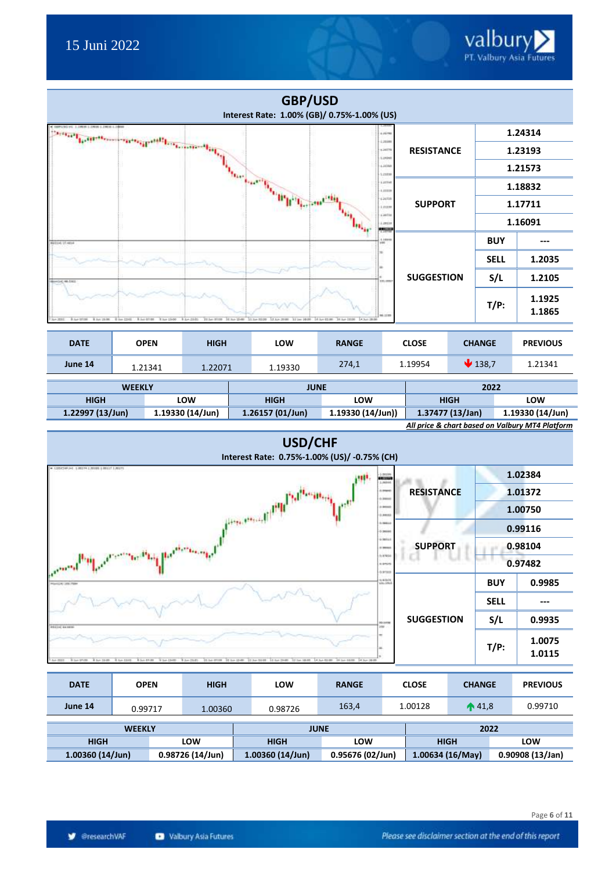

| .                  | 1.21341 | 1.ZZU/1          | 1.19330            | ---              | ----- | -----            | ------                                          |  |  |
|--------------------|---------|------------------|--------------------|------------------|-------|------------------|-------------------------------------------------|--|--|
|                    |         |                  |                    |                  |       |                  |                                                 |  |  |
| <b>WEEKLY</b>      |         |                  | <b>JUNE</b>        |                  |       | 2022             |                                                 |  |  |
| <b>HIGH</b>        |         | LOW              | <b>HIGH</b>        | LOW              |       | <b>HIGH</b>      | LOW                                             |  |  |
| $1.22997(13/$ Jun) |         | 1.19330 (14/Jun) | $1.26157(01/$ Jun) | 1.19330(14/Jun)) |       | 1.37477 (13/Jan) | 1.19330 (14/Jun)                                |  |  |
|                    |         |                  |                    |                  |       |                  | All price & chart based on Valbury MT4 Platform |  |  |





| <b>DATE</b>        | <b>OPEN</b>      | <b>HIGH</b> | LOW                | <b>RANGE</b>     |  | <b>CLOSE</b>    | <b>CHANGE</b>    | <b>PREVIOUS</b>  |
|--------------------|------------------|-------------|--------------------|------------------|--|-----------------|------------------|------------------|
| June 14            | 0.99717          | 1.00360     | 0.98726            | 163,4            |  | 1.00128         | $\bigwedge$ 41,8 | 0.99710          |
| <b>WEEKLY</b>      |                  |             | <b>JUNE</b>        |                  |  |                 | 2022             |                  |
| <b>HIGH</b>        |                  | <b>LOW</b>  | <b>HIGH</b>        | <b>LOW</b>       |  |                 | <b>HIGH</b>      | LOW              |
| $1.00360(14/$ Jun) | 0.98726 (14/Jun) |             | $1.00360(14/$ Jun) | 0.95676 (02/Jun) |  | 1.00634(16/May) |                  | 0.90908 (13/Jan) |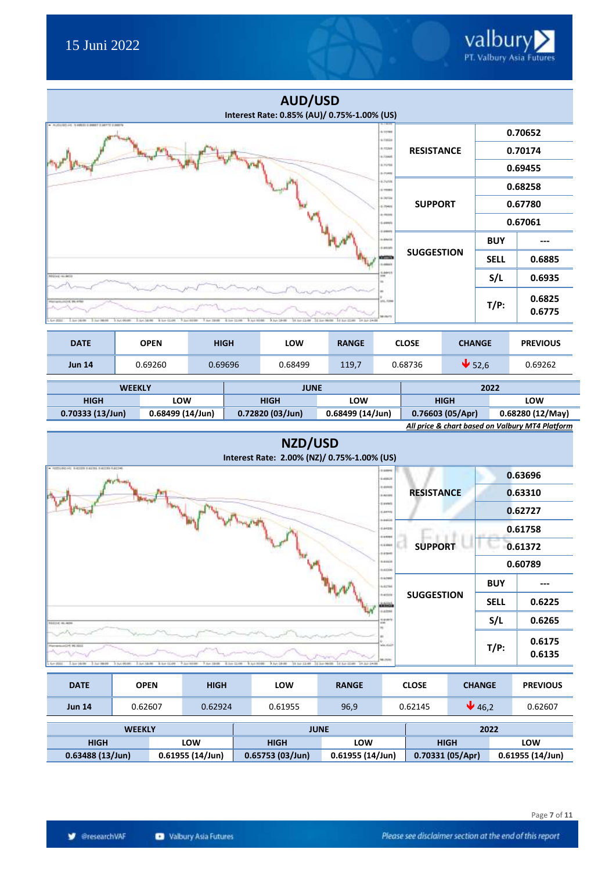|                                             |                                                   |                                                                              | <b>AUD/USD</b>            | Interest Rate: 0.85% (AU)/ 0.75%-1.00% (US)           |                                      |                   |               |                  |
|---------------------------------------------|---------------------------------------------------|------------------------------------------------------------------------------|---------------------------|-------------------------------------------------------|--------------------------------------|-------------------|---------------|------------------|
| + AUDIORD ART S 448030 G AWAY S ARTYS SUREY |                                                   |                                                                              |                           |                                                       | 8/22/08<br>a.tutis                   |                   |               | 0.70652          |
|                                             |                                                   |                                                                              |                           |                                                       | 0.77399<br>n/coas                    | <b>RESISTANCE</b> |               | 0.70174          |
|                                             |                                                   |                                                                              |                           |                                                       | 6,70786<br>5-75935                   |                   |               | 0.69455          |
|                                             |                                                   |                                                                              |                           |                                                       | 6.7418<br>IL TROBA                   |                   |               | 0.68258          |
|                                             |                                                   |                                                                              |                           |                                                       | 6-76Tax<br>6.70486                   | <b>SUPPORT</b>    |               | 0.67780          |
|                                             |                                                   |                                                                              |                           |                                                       | a mass<br>Limits                     |                   |               | 0.67061          |
|                                             |                                                   |                                                                              |                           |                                                       | <b>C-DRAFT</b><br>0.69416<br>c.esses |                   | <b>BUY</b>    |                  |
|                                             |                                                   |                                                                              |                           |                                                       | emo<br>1.4944                        | <b>SUGGESTION</b> | <b>SELL</b>   | 0.6885           |
| ASSOCIALMS                                  |                                                   |                                                                              |                           | 3.001                                                 | 0.44415                              |                   | S/L           | 0.6935           |
| 40111111111111111111111111111111            |                                                   |                                                                              |                           |                                                       | <b>VIL.1994</b><br><b>M-AFTS</b>     |                   | $T/P$ :       | 0.6825<br>0.6775 |
| L. Sun 141-780<br>3 July 180-00<br>See 2010 | 3 Ilufa (50-450)<br>8 km (1100)<br>3. Aug. 146-98 | The street<br>The most<br><b><i>R.Sav 11166</i></b><br><b>B July Mitrade</b> | 3.66.2640<br>39 Iul-11-98 | 34 July 14-28<br><b>LE RAY ET ANY</b><br>11 Ibn 56/58 |                                      |                   |               |                  |
| <b>DATE</b>                                 | <b>OPEN</b>                                       | <b>HIGH</b>                                                                  | LOW                       | <b>RANGE</b>                                          |                                      | <b>CLOSE</b>      | <b>CHANGE</b> | <b>PREVIOUS</b>  |

| <b>Jun 14</b>   |  | 0.69260          | 0.69696 |  | 0.68499          | 119,7            |      | 0.68736     | $\blacktriangleright$ 52,6 |  | 0.69262          |
|-----------------|--|------------------|---------|--|------------------|------------------|------|-------------|----------------------------|--|------------------|
|                 |  |                  |         |  |                  |                  |      |             |                            |  |                  |
| <b>WEEKLY</b>   |  | <b>JUNE</b>      |         |  |                  |                  | 2022 |             |                            |  |                  |
| <b>HIGH</b>     |  | <b>LOW</b>       |         |  | <b>HIGH</b>      | <b>LOW</b>       |      | <b>HIGH</b> |                            |  | LOW              |
| 0.70333(13/Jun) |  | 0.68499 (14/Jun) |         |  | 0.72820 (03/Jun) | 0.68499 (14/Jun) |      |             | 0.76603(05/Apr)            |  | 0.68280 (12/May) |

|  |  | All price & chart based on Valbury MT4 Platform |  |
|--|--|-------------------------------------------------|--|



| <b>DATE</b>   | <b>OPEN</b>   | <b>HIGH</b> | LOW     | <b>RANGE</b> | <b>CLOSE</b> | <b>CHANGE</b> | <b>PREVIOUS</b> |
|---------------|---------------|-------------|---------|--------------|--------------|---------------|-----------------|
| <b>Jun 14</b> | 0.62607       | 0.62924     | 0.61955 | 96,9         | 0.62145      | 46,2          | 0.62607         |
|               | <b>WEEKLY</b> |             |         | <b>JUNE</b>  |              | 2022          |                 |

| <b>WEEKLY</b>      |                  | <b>JUNE</b>        |                 | 2022            |                  |  |
|--------------------|------------------|--------------------|-----------------|-----------------|------------------|--|
| <b>HIGH</b>        | LOW              | <b>HIGH</b>        | LOW             | <b>HIGH</b>     | LOW              |  |
| $0.63488(13/$ Jun) | 0.61955 (14/Jun) | $0.65753(03/$ Jun) | 0.61955(14/Jun) | 0.70331(05/Apr) | 0.61955 (14/Jun) |  |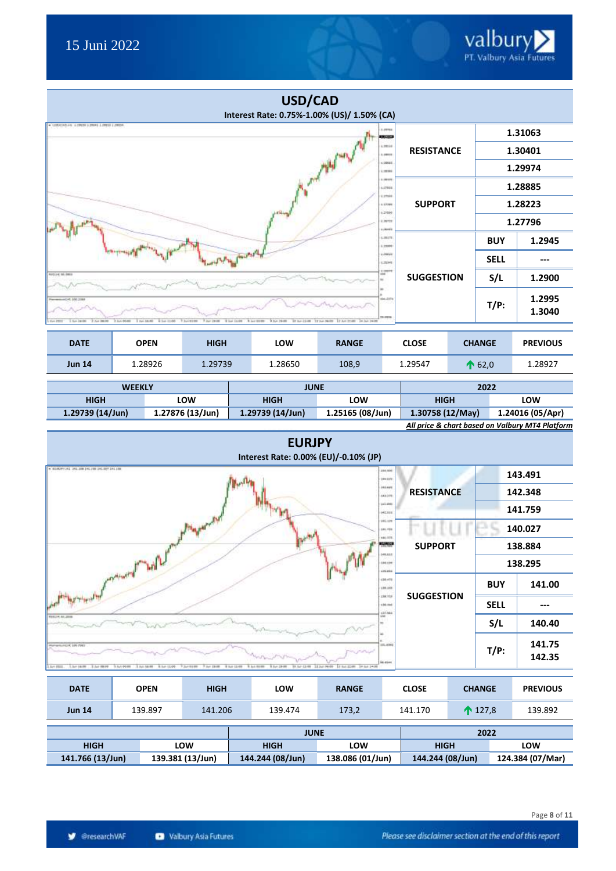|                                                             |                                               |                                                 | USD/CAD<br>Interest Rate: 0.75%-1.00% (US)/ 1.50% (CA) |                             |                              |                   |  |                |                  |  |
|-------------------------------------------------------------|-----------------------------------------------|-------------------------------------------------|--------------------------------------------------------|-----------------------------|------------------------------|-------------------|--|----------------|------------------|--|
| . USDCAD HI & DRIV & DIRH & DISH & DRIVE                    | 1.09765<br>435033                             |                                                 |                                                        |                             |                              |                   |  | 1.31063        |                  |  |
|                                                             |                                               |                                                 |                                                        |                             | 4,29146<br>1.09919           | <b>RESISTANCE</b> |  | 1.30401        |                  |  |
|                                                             |                                               |                                                 |                                                        | <b>Philip</b> (Supp         | 1,00685<br>1,28196           |                   |  |                | 1.29974          |  |
|                                                             |                                               |                                                 |                                                        |                             | 1.00170<br>4,09416<br>LITTER |                   |  |                | 1.28885          |  |
|                                                             |                                               |                                                 |                                                        |                             | 1.77389<br>1,21000           | <b>SUPPORT</b>    |  | 1.28223        |                  |  |
|                                                             |                                               |                                                 |                                                        |                             | Lister<br><b>Literate</b>    |                   |  |                | 1.27796          |  |
|                                                             |                                               |                                                 |                                                        |                             | 4,28178<br>1,25990           |                   |  | <b>BUY</b>     | 1.2945           |  |
|                                                             |                                               |                                                 |                                                        |                             | 1,39531<br>LISHE             |                   |  | <b>SELL</b>    | ---              |  |
| <b>HASS-CIREDRED</b>                                        |                                               |                                                 |                                                        |                             | 1,000<br>÷                   | <b>SUGGESTION</b> |  | S/L            | 1.2900           |  |
| 4941, 003, 043<br>1.5pm 148 066<br>2.3cm 98.00<br>$1 - 211$ | 3.3un 00-86<br>3 April 146,463<br>4 Set 11/69 | T Just 62.00<br>Fair (946)<br><b>What Luise</b> | 9.3,4.2648<br><b>N</b> Last Street                     | RA-DW TD-MB UACH DA HE PACH | 64-3174<br>19.0916           |                   |  | $T/P$ :        | 1.2995<br>1.3040 |  |
| <b>DATE</b>                                                 | <b>OPEN</b>                                   | <b>HIGH</b>                                     | LOW                                                    | <b>RANGE</b>                |                              | <b>CLOSE</b>      |  | <b>CHANGE</b>  | <b>PREVIOUS</b>  |  |
| <b>Jun 14</b>                                               | 1.28926                                       | 1.29739                                         | 1.28650                                                | 108,9                       |                              | 1.29547           |  | $\bigcap 62,0$ | 1.28927          |  |

| <b>WEEKLY</b>                          |     | <b>JUNE</b>                          |     | 2022                                            |     |  |
|----------------------------------------|-----|--------------------------------------|-----|-------------------------------------------------|-----|--|
| <b>HIGH</b>                            | LOW | <b>HIGH</b>                          | LOW | <b>HIGH</b>                                     | LOW |  |
| 1.27876 (13/Jun)<br>$1.29739(14/$ Jun) |     | 1.29739 (14/Jun)<br>1.25165 (08/Jun) |     | 1.30758 (12/May)<br>1.24016 (05/Apr)            |     |  |
|                                        |     |                                      |     | All price & chart based on Valbury MT4 Platform |     |  |

| <b>EURJPY</b><br>Interest Rate: 0.00% (EU)/-0.10% (JP)                                                                                                                                                                                                                                                                 |                   |             |                  |
|------------------------------------------------------------------------------------------------------------------------------------------------------------------------------------------------------------------------------------------------------------------------------------------------------------------------|-------------------|-------------|------------------|
| = 01/02/FT341 341-188 (40-190 1H) 007 141-188<br>499, 606<br><b>344.023</b>                                                                                                                                                                                                                                            |                   |             | 143.491          |
| 111,449<br>443.376                                                                                                                                                                                                                                                                                                     | <b>RESISTANCE</b> |             | 142.348          |
| 111.000<br>HESIS                                                                                                                                                                                                                                                                                                       |                   | 141.759     |                  |
| 116.129<br>111.770                                                                                                                                                                                                                                                                                                     |                   |             | 140.027          |
| 111.111<br>10002                                                                                                                                                                                                                                                                                                       | <b>SUPPORT</b>    |             | 138.884          |
| 146,617<br>\$44,239<br>P4.<br><b>LISREE</b>                                                                                                                                                                                                                                                                            |                   |             | 138.295          |
| المعطفين فليرد<br>$+10.470$<br>138.100                                                                                                                                                                                                                                                                                 |                   | <b>BUY</b>  | 141.00           |
| 198,725<br>136, 146                                                                                                                                                                                                                                                                                                    | <b>SUGGESTION</b> | <b>SELL</b> | ---              |
| 620.964<br><b>KMY</b><br><b>NOE24141,2006</b>                                                                                                                                                                                                                                                                          |                   | S/L         | 140.40           |
| 101.8041<br>POTAHOLICI E LIN PIRT<br><b>CONTROL</b><br><b>Inc.esses</b><br>11 Iul 22.00 34 Iul 14.00<br>Sun 18:78<br>1.040.0000<br>3 Iluft 00:00<br>3.840.58100<br>2010/01/27<br>7 841 19:00<br>1 560 0000<br>1 Suit 29-99<br>19.50 - CL-99<br>31.3ull 86.00<br>Suite (PRID)<br>8. Suit-13 (455)<br><b># hat 11/48</b> |                   | $T/P$ :     | 141.75<br>142.35 |

| <b>DATE</b>                          |     | <b>OPEN</b> | <b>HIGH</b>      |                                      | LOW         | <b>RANGE</b> |                  | <b>CLOSE</b> | <b>CHANGE</b>     | <b>PREVIOUS</b> |
|--------------------------------------|-----|-------------|------------------|--------------------------------------|-------------|--------------|------------------|--------------|-------------------|-----------------|
| <b>Jun 14</b>                        |     | 139.897     | 141.206          |                                      | 139.474     | 173,2        |                  | 141.170      | $\bigwedge$ 127,8 | 139.892         |
|                                      |     |             |                  |                                      | <b>JUNE</b> |              |                  |              | 2022              |                 |
| <b>HIGH</b>                          | LOW |             |                  |                                      | <b>HIGH</b> | LOW          |                  | <b>HIGH</b>  |                   | LOW             |
| 139.381 (13/Jun)<br>141.766 (13/Jun) |     |             | 144.244 (08/Jun) | 138.086 (01/Jun)<br>144.244 (08/Jun) |             |              | 124.384 (07/Mar) |              |                   |                 |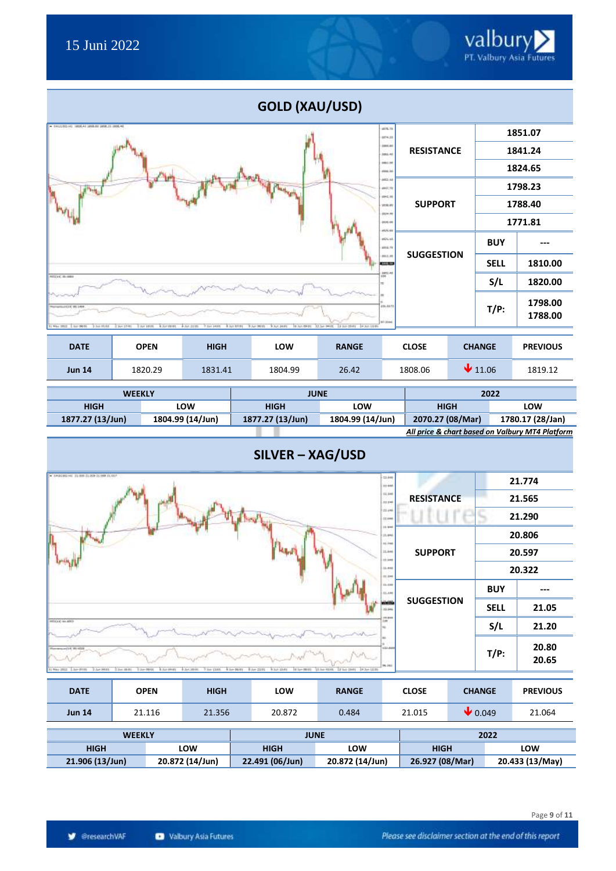|                                                             |                                             |                           | GOLD (XAU/USD)                                                        |                           |                                |                   |  |               |                                                 |  |
|-------------------------------------------------------------|---------------------------------------------|---------------------------|-----------------------------------------------------------------------|---------------------------|--------------------------------|-------------------|--|---------------|-------------------------------------------------|--|
| + 04UU0D HL 1806.41 JPIRAE JPIRJS (PDL46)                   |                                             |                           |                                                                       |                           | 4876.79<br>4874.23             |                   |  |               | 1851.07                                         |  |
|                                                             |                                             | 1841.24                   |                                                                       |                           |                                |                   |  |               |                                                 |  |
|                                                             |                                             |                           |                                                                       |                           | 1981.25<br>1946.94             |                   |  |               | 1824.65                                         |  |
|                                                             |                                             |                           |                                                                       |                           | 662.66<br>6607.76              |                   |  |               | 1798.23                                         |  |
|                                                             |                                             |                           |                                                                       |                           | 1042.46<br>1976.65             | <b>SUPPORT</b>    |  |               | 1788.40                                         |  |
|                                                             |                                             |                           |                                                                       |                           | (824-99)<br>1406-01<br>1525-61 |                   |  | 1771.81       |                                                 |  |
|                                                             |                                             |                           |                                                                       |                           | 1525.15<br>4816.75             |                   |  | <b>BUY</b>    |                                                 |  |
|                                                             |                                             |                           |                                                                       |                           | (412.98<br><b>Link as</b>      | <b>SUGGESTION</b> |  | <b>SELL</b>   | 1810.00                                         |  |
| 12224, 31-1001                                              |                                             |                           |                                                                       |                           | 3973.40<br>m                   |                   |  | S/L           | 1820.00                                         |  |
| (4.8.8) 1932   4014<br>May 1911 Eliza 50-51<br>3- 5-4 99.81 | 1 Soli 1/8-81<br>3 Act 18:01<br>A Survivoro | 4 AA 2239.<br>T Jul 14/01 | A 361 87.91<br>5 Art 9031<br>9.3/1.24/01<br>18 Jun 09-01 32 Jun 94-01 | 14 Internet - 14 Jun 1996 | 151.5173<br>1.1144             |                   |  | $T/P$ :       | 1798.00<br>1788.00                              |  |
| <b>DATE</b>                                                 | <b>OPEN</b>                                 | <b>HIGH</b>               | LOW                                                                   | <b>RANGE</b>              |                                | <b>CLOSE</b>      |  | <b>CHANGE</b> | <b>PREVIOUS</b>                                 |  |
| <b>Jun 14</b>                                               | 1820.29                                     | 1831.41                   | 1804.99                                                               | 26.42                     |                                | 1808.06           |  | 11.06         | 1819.12                                         |  |
|                                                             | <b>WEEKLY</b><br><b>JUNE</b>                |                           |                                                                       |                           |                                |                   |  | 2022          |                                                 |  |
| <b>HIGH</b>                                                 |                                             | LOW                       | <b>HIGH</b>                                                           | LOW                       |                                | <b>HIGH</b>       |  |               | LOW                                             |  |
| 1877.27 (13/Jun)                                            |                                             | 1804.99 (14/Jun)          | 1877.27 (13/Jun)                                                      | 1804.99 (14/Jun)          |                                | 2070.27 (08/Mar)  |  |               | 1780.17 (28/Jan)                                |  |
|                                                             |                                             |                           |                                                                       |                           |                                |                   |  |               | All price & chart based on Valbury MT4 Platform |  |



| <b>DATE</b>                        | <b>OPEN</b> | <b>HIGH</b>     | <b>LOW</b>      | <b>RANGE</b>    | <b>CLOSE</b> | <b>CHANGE</b>               | <b>PREVIOUS</b> |
|------------------------------------|-------------|-----------------|-----------------|-----------------|--------------|-----------------------------|-----------------|
| <b>Jun 14</b>                      | 21.116      | 21.356          | 20.872          | 0.484           | 21.015       | $\blacktriangleright$ 0.049 | 21.064          |
| <b>WEEKLY</b>                      |             |                 | <b>JUNE</b>     |                 |              | 2022                        |                 |
| <b>HIGH</b>                        |             | LOW             | <b>HIGH</b>     | LOW             | <b>HIGH</b>  |                             | LOW             |
| 20.872 (14/Jun)<br>21.906 (13/Jun) |             | 22.491 (06/Jun) | 20.872 (14/Jun) | 26.927 (08/Mar) |              | 20.433 (13/May)             |                 |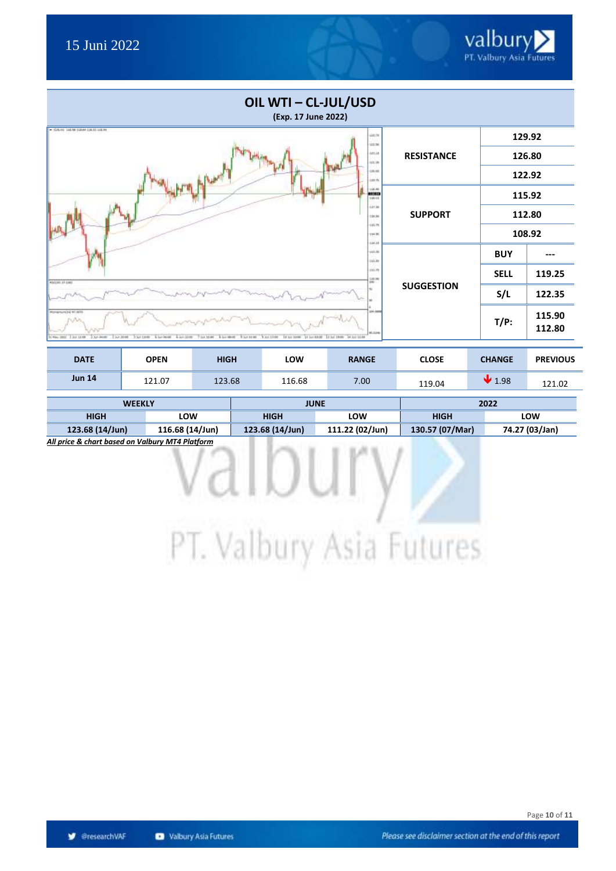

| OIL WTI - CL-JUL/USD<br>(Exp. 17 June 2022)                                                                                                                                                                                    |                   |             |                  |
|--------------------------------------------------------------------------------------------------------------------------------------------------------------------------------------------------------------------------------|-------------------|-------------|------------------|
| $-$ CA-+ 1838 BlockBLB318+<br>(21.79)<br>033.96                                                                                                                                                                                |                   |             | 129.92           |
| 122.18<br>101.00                                                                                                                                                                                                               | <b>RESISTANCE</b> |             | 126.80           |
| 125.88<br><b>LIETS</b>                                                                                                                                                                                                         |                   |             | 122.92           |
| 14.86<br>mas<br>144.48                                                                                                                                                                                                         |                   |             | 115.92           |
| LIT.36<br>134.96<br>111.7%                                                                                                                                                                                                     | <b>SUPPORT</b>    |             | 112.80           |
| 114.95<br>136.18                                                                                                                                                                                                               |                   |             | 108.92           |
| 141.36<br>11.18                                                                                                                                                                                                                |                   | <b>BUY</b>  |                  |
| axim.<br>$\frac{137.30}{100}$<br><b>RSILIAI 37 EMIT</b>                                                                                                                                                                        |                   | <b>SELL</b> | 119.25           |
|                                                                                                                                                                                                                                | <b>SUGGESTION</b> | S/L         | 122.35           |
| 194.000<br>EDA-14 SCIPILINUM<br>91.1346<br>2 kg laune<br>2 km 30 MF<br>3 hr Live<br>RAYME RACER<br>3.0-0.14.099<br>8 hr istor<br><b>BARBOR</b><br>10 St 1990 11 Inches 12 St 10 Links 14 Inch 15:00<br>4 40 30 90<br>100 15:00 |                   | $T/P$ :     | 115.90<br>112.80 |

| <b>DATE</b>   | <b>OPEN</b> | <b>HIGH</b> | LOW    | <b>RANGE</b> | <b>CLOSE</b> | <b>CHANGE</b> | <b>PREVIOUS</b> |
|---------------|-------------|-------------|--------|--------------|--------------|---------------|-----------------|
| <b>Jun 14</b> | 121.07      | 123.68      | 116.68 | 7.00         | 119.04       | 1.98          | 121.02          |

| <b>WEEKLY</b>   |                 |                 | <b>JUNE</b>     | 2022               |                |  |
|-----------------|-----------------|-----------------|-----------------|--------------------|----------------|--|
| <b>HIGH</b>     | LOW             | <b>HIGH</b>     | LOW             | LOW<br><b>HIGH</b> |                |  |
| 123.68 (14/Jun) | 116.68 (14/Jun) | 123.68 (14/Jun) | 111.22 (02/Jun) | 130.57 (07/Mar)    | 74.27 (03/Jan) |  |

*All price & chart based on Valbury MT4 Platform*

PT. Valbury Asia Futures